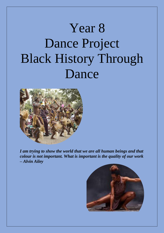# Year 8 Dance Project Black History Through Dance



*I am trying to show the world that we are all human beings and that colour is not important. What is important is the quality of our work – Alvin Ailey*

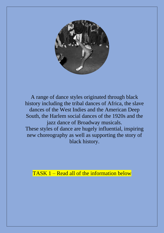

A range of dance styles originated through black history including the tribal dances of Africa, the slave dances of the West Indies and the American Deep South, the Harlem social dances of the 1920s and the jazz dance of Broadway musicals. These styles of dance are hugely influential, inspiring new choreography as well as supporting the story of black history.

TASK 1 – Read all of the information below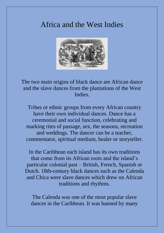## Africa and the West Indies



The two main origins of black dance are African dance and the slave dances from the plantations of the West Indies.

Tribes or ethnic groups from every African country have their own individual dances. Dance has a ceremonial and social function, celebrating and marking rites of passage, sex, the seasons, recreation and weddings. The dancer can be a teacher, commentator, spiritual medium, healer or storyteller.

In the Caribbean each island has its own traditions that come from its African roots and the island's particular colonial past – British, French, Spanish or Dutch. 18th-century black dances such as the Calenda and Chica were slave dances which drew on African traditions and rhythms.

The Calenda was one of the most popular slave dances in the Caribbean. It was banned by many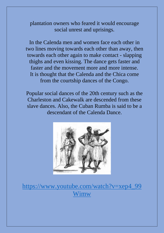plantation owners who feared it would encourage social unrest and uprisings.

In the Calenda men and women face each other in two lines moving towards each other than away, then towards each other again to make contact - slapping thighs and even kissing. The dance gets faster and faster and the movement more and more intense. It is thought that the Calenda and the Chica come from the courtship dances of the Congo.

Popular social dances of the 20th century such as the Charleston and Cakewalk are descended from these slave dances. Also, the Cuban Rumba is said to be a descendant of the Calenda Dance.



[https://www.youtube.com/watch?v=xep4\\_99](https://www.youtube.com/watch?v=xep4_99Wimw) [Wimw](https://www.youtube.com/watch?v=xep4_99Wimw)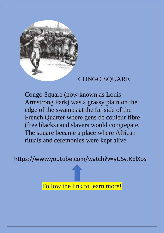

## CONGO SQUARE

Congo Square (now known as Louis Armstrong Park) was a grassy plain on the edge of the swamps at the far side of the French Quarter where gens de couleur fibre (free blacks) and slavers would congregate. The square became a place where African rituals and ceremonies were kept alive

<https://www.youtube.com/watch?v=yUSyJKElXos>

Follow the link to learn more!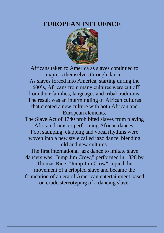### **EUROPEAN INFLUENCE**



Africans taken to America as slaves continued to express themselves through dance.

As slaves forced into America, starting during the 1600's, Africans from many cultures were cut off from their families, languages and tribal traditions. The result was an intermingling of African cultures that created a new culture with both African and European elements.

The Slave Act of 1740 prohibited slaves from playing African drums or performing African dances, Foot stamping, clapping and vocal rhythms were woven into a new style called jazz dance, blending old and new cultures.

The first international jazz dance to imitate slave dancers was "Jump Jim Crow," performed in 1828 by Thomas Rice. "Jump Jim Crow" copied the movement of a crippled slave and became the foundation of an era of American [entertainment](http://www.ehow.com/about_5382233_history-jazz-dance.html) based on crude stereotyping of a dancing slave.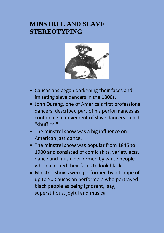## **MINSTREL AND SLAVE STEREOTYPING**



- Caucasians began darkening their faces and imitating slave dancers in the 1800s.
- John Durang, one of America's first professional dancers, described part of his performances as containing a movement of slave dancers called "shuffles."
- The minstrel show was a big influence on American jazz dance.
- The minstrel show was popular from 1845 to 1900 and consisted of comic skits, variety acts, dance and music performed by white people who darkened their faces to look black.
- Minstrel shows were performed by a troupe of up to 50 Caucasian performers who portrayed black people as being ignorant, lazy, superstitious, joyful and musical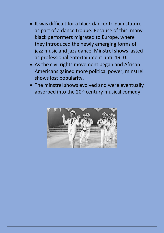- It was difficult for a black dancer to gain stature as part of a dance troupe. Because of this, many black performers migrated to Europe, where they introduced the newly emerging forms of jazz music and jazz dance. Minstrel shows lasted as professional entertainment until 1910.
- As the civil rights movement began and African Americans gained more political power, minstrel shows lost popularity.
- The minstrel shows evolved and were eventually absorbed into the 20<sup>th</sup> century musical comedy.

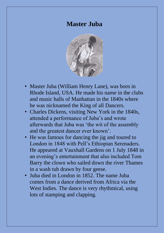## **Master Juba**



- Master Juba (William Henry Lane), was born in Rhode Island, USA. He made his name in the clubs and music halls of Manhattan in the 1840s where he was nicknamed the King of all Dancers.
- Charles Dickens, visiting New York in the 1840s, attended a performance of Juba's and wrote afterwards that Juba was 'the wit of the assembly and the greatest dancer ever known'.
- He was famous for dancing the jig and toured to London in 1848 with Pell's Ethiopian Serenaders. He appeared at Vauxhall Gardens on 1 July 1848 in an evening's entertainment that also included Tom Barry the clown who sailed down the river Thames in a wash tub drawn by four geese.
- Juba died in London in 1852. The name Juba comes from a dance derived from Africa via the West Indies. The dance is very rhythmical, using lots of stamping and clapping.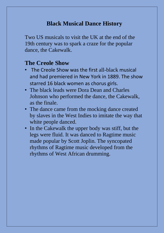## **Black Musical Dance History**

Two US musicals to visit the UK at the end of the 19th century was to spark a craze for the popular dance, the Cakewalk.

### **The Creole Show**

- The Creole Show was the first all-black musical and had premiered in New York in 1889. The show starred 16 black women as chorus girls.
- The black leads were Dora Dean and Charles Johnson who performed the dance, the Cakewalk, as the finale.
- The dance came from the mocking dance created by slaves in the West Indies to imitate the way that white people danced.
- In the Cakewalk the upper body was stiff, but the legs were fluid. It was danced to Ragtime music made popular by Scott Joplin. The syncopated rhythms of Ragtime music developed from the rhythms of West African drumming.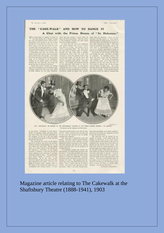#### THE "CAKE-WALK" AND HOW TO DANCE IT A Chat with the Prima Donna of "In Dahomey."

To my journ, next

we are regular many and express. Assuming and in free and the former. And they and generally power over the form in the continuent the decay. The first continuent the decay of the first continuent the decay of the most of

To the quickle



THE "AMAINMANT OF SHIRED AT THE BHATTERIUM THEATHE IN THE INSIDE MUREAL CORDITI, "IN CONDENT one are less due

 $24$ 

These the mostly strength flux points. The contract scheme  $\sim$  The collected points are contracted in the property better strength of the property better flux and the strength of the flux strength of the flux strength of

#### Magazine article relating to The Cakewalk at the Shaftsbury Theatre (1888-1941), 1903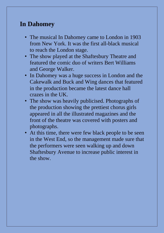## **In Dahomey**

- The musical In Dahomey came to London in 1903 from New York. It was the first all-black musical to reach the London stage.
- The show played at the Shaftesbury Theatre and featured the comic duo of writers Bert Williams and George Walker.
- In Dahomey was a huge success in London and the Cakewalk and Buck and Wing dances that featured in the production became the latest dance hall crazes in the UK.
- The show was heavily publicised. Photographs of the production showing the prettiest chorus girls appeared in all the illustrated magazines and the front of the theatre was covered with posters and photographs.
- At this time, there were few black people to be seen in the West End, so the management made sure that the performers were seen walking up and down Shaftesbury Avenue to increase public interest in the show.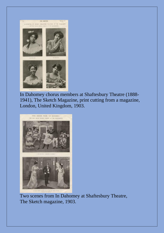

In Dahomey chorus members at Shaftesbury Theatre (1888- 1941), The Sketch Magazine, print cutting from a magazine, London, United Kingdom, 1903.



Two scenes from In Dahomey at Shaftesbury Theatre, The Sketch magazine, 1903.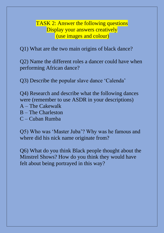TASK 2: Answer the following questions Display your answers creatively (use images and colour)

Q1) What are the two main origins of black dance?

Q2) Name the different roles a dancer could have when performing African dance?

Q3) Describe the popular slave dance 'Calenda'

Q4) Research and describe what the following dances were (remember to use ASDR in your descriptions) A – The Cakewalk B – The Charleston C – Cuban Rumba

Q5) Who was 'Master Juba'? Why was he famous and where did his nick name originate from?

Q6) What do you think Black people thought about the Minstrel Shows? How do you think they would have felt about being portrayed in this way?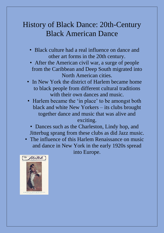## History of Black Dance: 20th-Century Black American Dance

- Black culture had a real influence on dance and other art forms in the 20th century.
- After the American civil war, a surge of people from the Caribbean and Deep South migrated into North American cities.
- In New York the district of Harlem became home to black people from different cultural traditions with their own dances and music.
- Harlem became the 'in place' to be amongst both black and white New Yorkers – its clubs brought together dance and music that was alive and

#### exciting.

• Dances such as the Charleston, Lindy hop, and Jitterbug sprang from these clubs as did Jazz music.

• The influence of this Harlem Renaissance on music and dance in New York in the early 1920s spread into Europe.

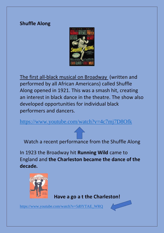#### **Shuffle Along**



The first all-black musical on Broadway (written and performed by all African Americans) called Shuffle Along opened in 1921. This was a smash hit, creating an interest in black dance in the theatre. The show also developed opportunities for individual black performers and dancers.

<https://www.youtube.com/watch?v=4c7mj7D8Ofk>

Watch a recent performance from the Shuffle Along

In 1923 the Broadway hit **Running Wild** came to England and **the Charleston became the dance of the decade.**



 **Have a go a t the Charleston!**

[https://www.youtube.com/watch?v=5d0YTAE\\_WRQ](https://www.youtube.com/watch?v=5d0YTAE_WRQ)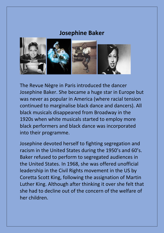#### **Josephine Baker**



The Revue Nègre in Paris introduced the dancer Josephine Baker. She became a huge star in Europe but was never as popular in America (where racial tension continued to marginalise black dance and dancers). All black musicals disappeared from Broadway in the 1920s when white musicals started to employ more black performers and black dance was incorporated into their programme.

Josephine devoted herself to fighting segregation and racism in the United States during the 1950's and 60's. Baker refused to perform to segregated audiences in the United States. In 1968, she was offered unofficial leadership in the Civil Rights movement in the US by Coretta Scott King, following the assignation of Martin Luther King. Although after thinking it over she felt that she had to decline out of the concern of the welfare of her children.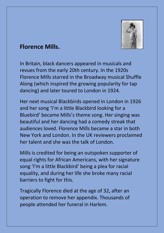

## **Florence Mills.**

In Britain, black dancers appeared in musicals and revues from the early 20th century. In the 1920s Florence Mills starred in the Broadway musical Shuffle Along (which inspired the growing popularity for tap dancing) and later toured to London in 1924.

Her next musical Blackbirds opened in London in 1926 and her song 'I'm a little Blackbird looking for a Bluebird' became Mills's theme song. Her singing was beautiful and her dancing had a comedy streak that audiences loved. Florence Mills became a star in both New York and London. In the UK reviewers proclaimed her talent and she was the talk of London.

Mills is credited for being an outspoken supporter of equal rights for African Americans, with her signature song 'I'm a little Blackbird' being a plea for racial equality, and during her life she broke many racial barriers to fight for this.

Tragically Florence died at the age of 32, after an operation to remove her appendix. Thousands of people attended her funeral in Harlem.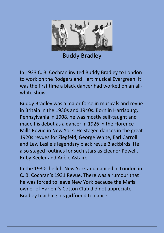

Buddy Bradley

In 1933 C. B. Cochran invited Buddy Bradley to London to work on the Rodgers and Hart musical Evergreen. It was the first time a black dancer had worked on an allwhite show.

Buddy Bradley was a major force in musicals and revue in Britain in the 1930s and 1940s. Born in Harrisburg, Pennsylvania in 1908, he was mostly self-taught and made his debut as a dancer in 1926 in the Florence Mills Revue in New York. He staged dances in the great 1920s revues for Ziegfeld, George White, Earl Carroll and Lew Leslie's legendary black revue Blackbirds. He also staged routines for such stars as Eleanor Powell, Ruby Keeler and Adèle Astaire.

In the 1930s he left New York and danced in London in C. B. Cochran's 1931 Revue. There was a rumour that he was forced to leave New York because the Mafia owner of Harlem's Cotton Club did not appreciate Bradley teaching his girlfriend to dance.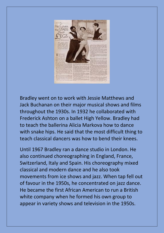

Bradley went on to work with Jessie Matthews and Jack Buchanan on their major musical shows and films throughout the 1930s. In 1932 he collaborated with Frederick Ashton on a ballet High Yellow. Bradley had to teach the ballerina Alicia Markova how to dance with snake hips. He said that the most difficult thing to teach classical dancers was how to bend their knees.

Until 1967 Bradley ran a dance studio in London. He also continued choreographing in England, France, Switzerland, Italy and Spain. His choreography mixed classical and modern dance and he also took movements from ice shows and jazz. When tap fell out of favour in the 1950s, he concentrated on jazz dance. He became the first African American to run a British white company when he formed his own group to appear in variety shows and television in the 1950s.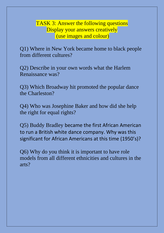TASK 3: Answer the following questions Display your answers creatively (use images and colour)

Q1) Where in New York became home to black people from different cultures?

Q2) Describe in your own words what the Harlem Renaissance was?

Q3) Which Broadway hit promoted the popular dance the Charleston?

Q4) Who was Josephine Baker and how did she help the right for equal rights?

Q5) Buddy Bradley became the first African American to run a British white dance company. Why was this significant for African Americans at this time (1950's)?

Q6) Why do you think it is important to have role models from all different ethnicities and cultures in the arts?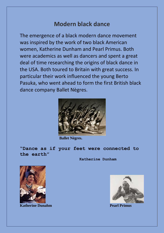## **Modern black dance**

The emergence of a black modern dance movement was inspired by the work of two black American women, Katherine Dunham and Pearl Primus. Both were academics as well as dancers and spent a great deal of time researching the origins of black dance in the USA. Both toured to Britain with great success. In particular their work influenced the young Berto Pasuka, who went ahead to form the first British black dance company Ballet Nègres.



 **Ballet Nègres.**

**"Dance as if your feet were connected to the earth"**

**Katherine Dunham**



**Katherine Dunahm Pearl Primus** 

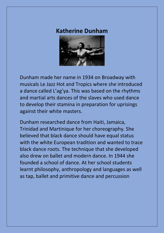## **Katherine Dunham**



Dunham made her name in 1934 on Broadway with musicals Le Jazz Hot and Tropics where she introduced a dance called L'ag'ya. This was based on the rhythms and martial arts dances of the slaves who used dance to develop their stamina in preparation for uprisings against their white masters.

Dunham researched dance from Haiti, Jamaica, Trinidad and Martinique for her choreography. She believed that black dance should have equal status with the white European tradition and wanted to trace black dance roots. The technique that she developed also drew on ballet and modern dance. In 1944 she founded a school of dance. At her school students learnt philosophy, anthropology and languages as well as tap, ballet and primitive dance and percussion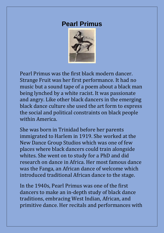## **Pearl Primus**



Pearl Primus was the first black modern dancer. Strange Fruit was her first performance. It had no music but a sound tape of a poem about a black man being lynched by a white racist. It was passionate and angry. Like other black dancers in the emerging black dance culture she used the art form to express the social and political constraints on black people within America.

She was born in Trinidad before her parents immigrated to Harlem in 1919. She worked at the New Dance Group Studios which was one of few places where black dancers could train alongside whites. She went on to study for a PhD and did research on dance in Africa. Her most famous dance was the Fanga, an African dance of welcome which introduced traditional African dance to the stage.

In the 1940s, Pearl Primus was one of the first dancers to make an in-depth study of black dance traditions, embracing West Indian, African, and primitive dance. Her recitals and performances with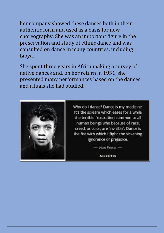her company showed these dances both in their authentic form and used as a basis for new choreography. She was an important figure in the preservation and study of ethnic dance and was consulted on dance in many countries, including Libya.

She spent three years in Africa making a survey of native dances and, on her return in 1951, she presented many performances based on the dances and rituals she had studied.



Why do I dance? Dance is my medicine. It's the scream which eases for a while the terrible frustration common to all human beings who because of race, creed, or color, are 'invisible'. Dance is the fist with which I fight the sickening ignorance of prejudice.

> Pearl Primar **AZQUOTES**